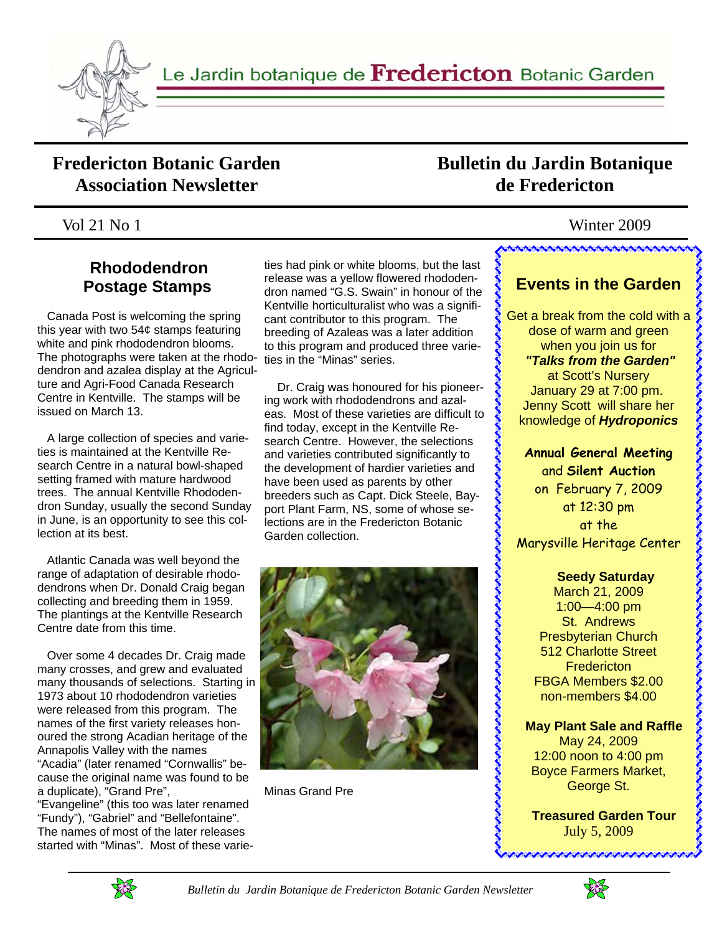

## **Fredericton Botanic Garden Association Newsletter**

## **Bulletin du Jardin Botanique de Fredericton**

## Vol 21 No 1 Winter 2009

## **Rhododendron Postage Stamps**

 Canada Post is welcoming the spring this year with two 54¢ stamps featuring white and pink rhododendron blooms. The photographs were taken at the rhododendron and azalea display at the Agriculture and Agri-Food Canada Research Centre in Kentville. The stamps will be issued on March 13.

 A large collection of species and varieties is maintained at the Kentville Research Centre in a natural bowl-shaped setting framed with mature hardwood trees. The annual Kentville Rhododendron Sunday, usually the second Sunday in June, is an opportunity to see this collection at its best.

 Atlantic Canada was well beyond the range of adaptation of desirable rhododendrons when Dr. Donald Craig began collecting and breeding them in 1959. The plantings at the Kentville Research Centre date from this time.

 Over some 4 decades Dr. Craig made many crosses, and grew and evaluated many thousands of selections. Starting in 1973 about 10 rhododendron varieties were released from this program. The names of the first variety releases honoured the strong Acadian heritage of the Annapolis Valley with the names "Acadia" (later renamed "Cornwallis" because the original name was found to be a duplicate), "Grand Pre",

"Evangeline" (this too was later renamed "Fundy"), "Gabriel" and "Bellefontaine". The names of most of the later releases started with "Minas". Most of these varie-

ties had pink or white blooms, but the last release was a yellow flowered rhododendron named "G.S. Swain" in honour of the Kentville horticulturalist who was a significant contributor to this program. The breeding of Azaleas was a later addition to this program and produced three varieties in the "Minas" series.

 Dr. Craig was honoured for his pioneering work with rhododendrons and azaleas. Most of these varieties are difficult to find today, except in the Kentville Research Centre. However, the selections and varieties contributed significantly to the development of hardier varieties and have been used as parents by other breeders such as Capt. Dick Steele, Bayport Plant Farm, NS, some of whose selections are in the Fredericton Botanic Garden collection.



Minas Grand Pre

AAAAAAAAAAAAAAAAAAAAA

## **Events in the Garden**

Get a break from the cold with a dose of warm and green when you join us for *"Talks from the Garden"*  at Scott's Nursery January 29 at 7:00 pm. Jenny Scott will share her knowledge of *Hydroponics*

**Annual General Meeting**  and **Silent Auction**  on February 7, 2009 at 12:30 pm at the Marysville Heritage Center

アイファイン アイクライン

#### **Seedy Saturday**

March 21, 2009 1:00—4:00 pm St. Andrews Presbyterian Church 512 Charlotte Street **Fredericton** FBGA Members \$2.00 non-members \$4.00

 **May Plant Sale and Raffle** 

May 24, 2009 12:00 noon to 4:00 pm Boyce Farmers Market, George St.

 **Treasured Garden Tour**  July 5, 2009

**popolarization popularization** 



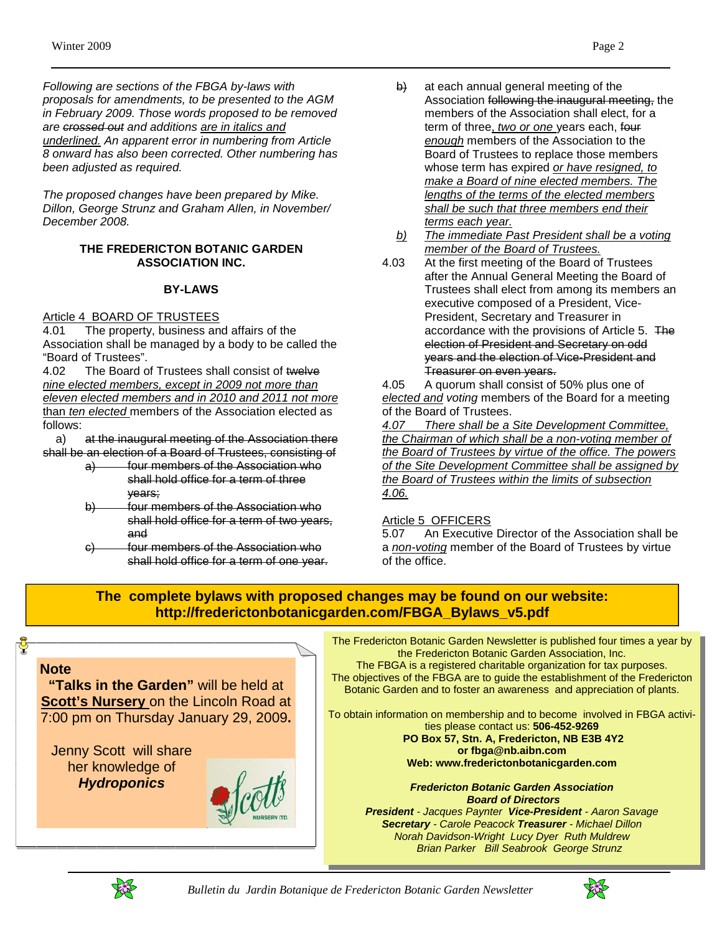*Following are sections of the FBGA by-laws with proposals for amendments, to be presented to the AGM in February 2009. Those words proposed to be removed are crossed out and additions are in italics and underlined. An apparent error in numbering from Article 8 onward has also been corrected. Other numbering has been adjusted as required.* 

*The proposed changes have been prepared by Mike. Dillon, George Strunz and Graham Allen, in November/ December 2008.* 

#### **THE FREDERICTON BOTANIC GARDEN ASSOCIATION INC.**

#### **BY-LAWS**

#### Article 4 BOARD OF TRUSTEES

4.01 The property, business and affairs of the Association shall be managed by a body to be called the "Board of Trustees".

4.02 The Board of Trustees shall consist of twelve *nine elected members, except in 2009 not more than eleven elected members and in 2010 and 2011 not more*  than *ten elected* members of the Association elected as follows:

 a) at the inaugural meeting of the Association there shall be an election of a Board of Trustees, consisting of

- a) four members of the Association who shall hold office for a term of three years;
- four members of the Association who shall hold office for a term of two years, and
- c) four members of the Association who shall hold office for a term of one year.
- $\theta$  at each annual general meeting of the Association following the inaugural meeting, the members of the Association shall elect, for a term of three, *two or one* years each, four *enough* members of the Association to the Board of Trustees to replace those members whose term has expired *or have resigned, to make a Board of nine elected members. The lengths of the terms of the elected members shall be such that three members end their terms each year.*
- *b) The immediate Past President shall be a voting member of the Board of Trustees.*
- 4.03 At the first meeting of the Board of Trustees after the Annual General Meeting the Board of Trustees shall elect from among its members an executive composed of a President, Vice-President, Secretary and Treasurer in accordance with the provisions of Article 5. The election of President and Secretary on odd years and the election of Vice-President and Treasurer on even years.

4.05 A quorum shall consist of 50% plus one of *elected and voting* members of the Board for a meeting of the Board of Trustees.

*4.07 There shall be a Site Development Committee, the Chairman of which shall be a non-voting member of the Board of Trustees by virtue of the office. The powers of the Site Development Committee shall be assigned by the Board of Trustees within the limits of subsection 4.06.*

#### Article 5 OFFICERS

5.07 An Executive Director of the Association shall be a *non-voting* member of the Board of Trustees by virtue of the office.

### **The complete bylaws with proposed changes may be found on our website: http://frederictonbotanicgarden.com/FBGA\_Bylaws\_v5.pdf**



**"Talks in the Garden"** will be held at **Scott's Nursery** on the Lincoln Road at 7:00 pm on Thursday January 29, 2009**.** 

Jenny Scott will share her knowledge of *Hydroponics*

The Fredericton Botanic Garden Newsletter is published four times a year by the Fredericton Botanic Garden Association, Inc.

The FBGA is a registered charitable organization for tax purposes. The objectives of the FBGA are to guide the establishment of the Fredericton Botanic Garden and to foster an awareness and appreciation of plants.

To obtain information on membership and to become involved in FBGA activities please contact us: **506-452-9269** 

> **PO Box 57, Stn. A, Fredericton, NB E3B 4Y2 or fbga@nb.aibn.com Web: www.frederictonbotanicgarden.com**

*Fredericton Botanic Garden Association Board of Directors President - Jacques Paynter Vice-President - Aaron Savage Secretary - Carole Peacock Treasurer - Michael Dillon* 

*Norah Davidson-Wright Lucy Dyer Ruth Muldrew Brian Parker Bill Seabrook George Strunz* 



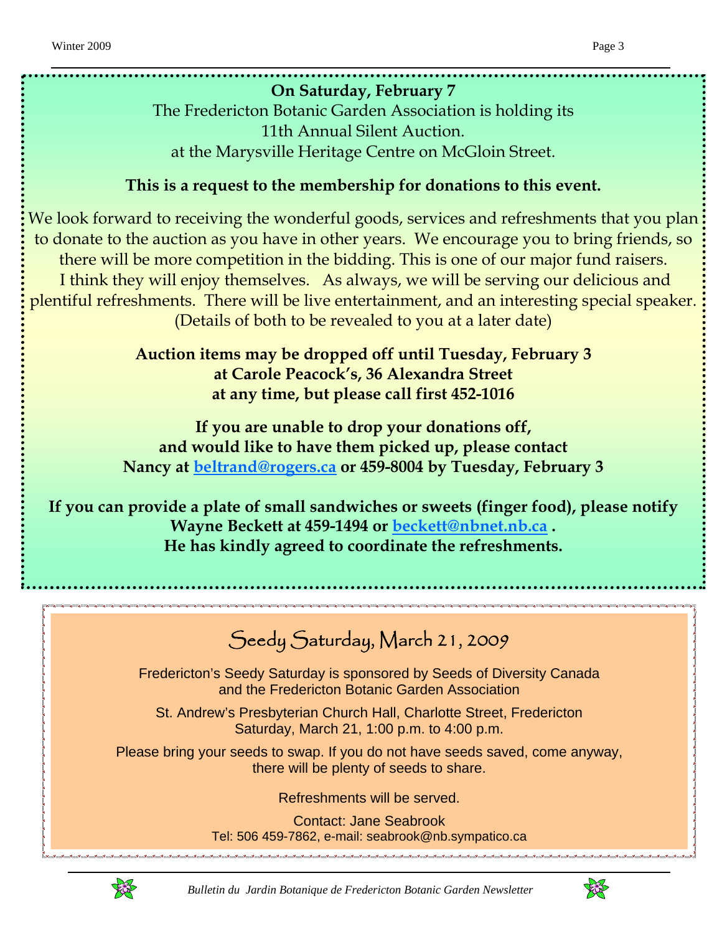## **On Saturday, February 7**

The Fredericton Botanic Garden Association is holding its 11th Annual Silent Auction. at the Marysville Heritage Centre on McGloin Street.

## **This is a request to the membership for donations to this event.**

We look forward to receiving the wonderful goods, services and refreshments that you plan to donate to the auction as you have in other years. We encourage you to bring friends, so there will be more competition in the bidding. This is one of our major fund raisers. I think they will enjoy themselves. As always, we will be serving our delicious and plentiful refreshments. There will be live entertainment, and an interesting special speaker. (Details of both to be revealed to you at a later date)

> **Auction items may be dropped off until Tuesday, February 3 at Carole Peacock's, 36 Alexandra Street at any time, but please call first 452-1016**

**If you are unable to drop your donations off, and would like to have them picked up, please contact Nancy at beltrand@rogers.ca or 459-8004 by Tuesday, February 3**

**If you can provide a plate of small sandwiches or sweets (finger food), please notify Wayne Beckett at 459-1494 or beckett@nbnet.nb.ca . He has kindly agreed to coordinate the refreshments.**

# Seedy Saturday, March 21, 2009

Fredericton's Seedy Saturday is sponsored by Seeds of Diversity Canada and the Fredericton Botanic Garden Association

St. Andrew's Presbyterian Church Hall, Charlotte Street, Fredericton Saturday, March 21, 1:00 p.m. to 4:00 p.m.

Please bring your seeds to swap. If you do not have seeds saved, come anyway, there will be plenty of seeds to share.

Refreshments will be served.

Contact: Jane Seabrook Tel: 506 459-7862, e-mail: seabrook@nb.sympatico.ca